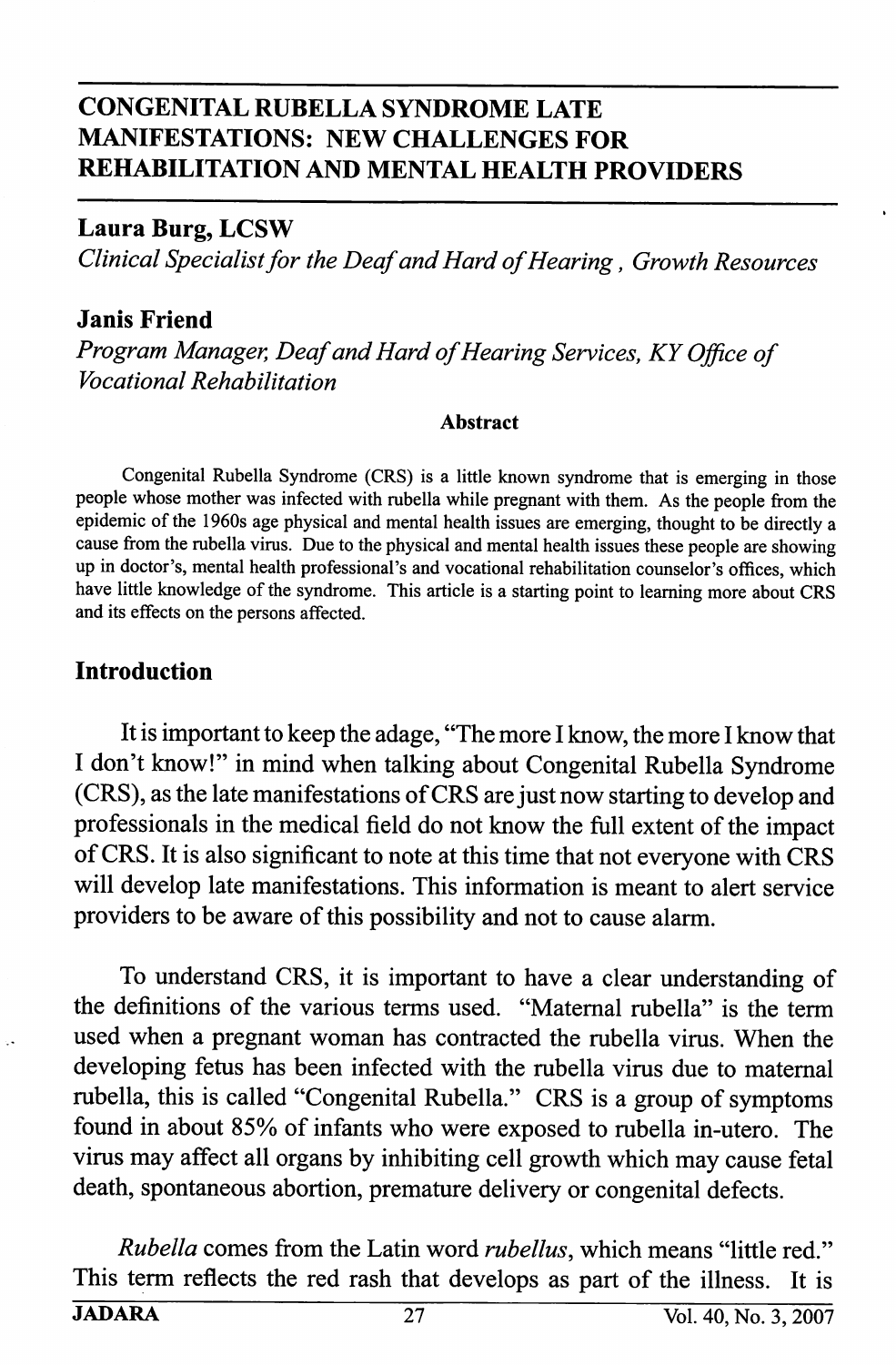# CONGENITAL RUBELLA SYNDROME LATE MANIFESTATIONS: NEW CHALLENGES FOR REHABILITATION AND MENTAL HEALTH PROVIDERS

## Laura Burg, LCSW

Clinical Specialist for the Deaf and Hard of Hearing, Growth Resources

### Janis Friend

Program Manager, Deaf and Hard of Hearing Services, KY Office of Vocational Rehabilitation

#### Abstract

Congenital Rubella Syndrome (CRS) is a little known syndrome that is emerging in those people whose mother was infected with rubella while pregnant with them. As the people from the epidemic of the 1960s age physical and mental health issues are emerging, thought to be directly a cause from the rubella virus. Due to the physical and mental health issues these people are showing up in doctor's, mental health professional's and vocational rehabilitation counselor's offices, which have little knowledge of the syndrome. This article is a starting point to learning more about CRS and its effects on the persons affected.

## Introduction

It is important to keep the adage, "The more I know, the more I know that I don't know!" in mind when talking about Congenital Rubella Syndrome (CRS), as the late manifestations of CRS are just now starting to develop and professionals in the medical field do not know the full extent of the impact of CRS. It is also significant to note at this time that not everyone with CRS will develop late manifestations. This information is meant to alert service providers to be aware of this possibility and not to cause alarm.

To understand CRS, it is important to have a clear understanding of the definitions of the various terms used. "Maternal rubella" is the term used when a pregnant woman has contracted the rubella virus. When the developing fetus has been infected with the rubella virus due to maternal rubella, this is called "Congenital Rubella." CRS is a group of symptoms found in about 85% of infants who were exposed to rubella in-utero. The virus may affect all organs by inhibiting cell growth which may cause fetal death, spontaneous abortion, premature delivery or congenital defects.

Rubella comes from the Latin word *rubellus*, which means "little red." This term reflects the red rash that develops as part of the illness. It is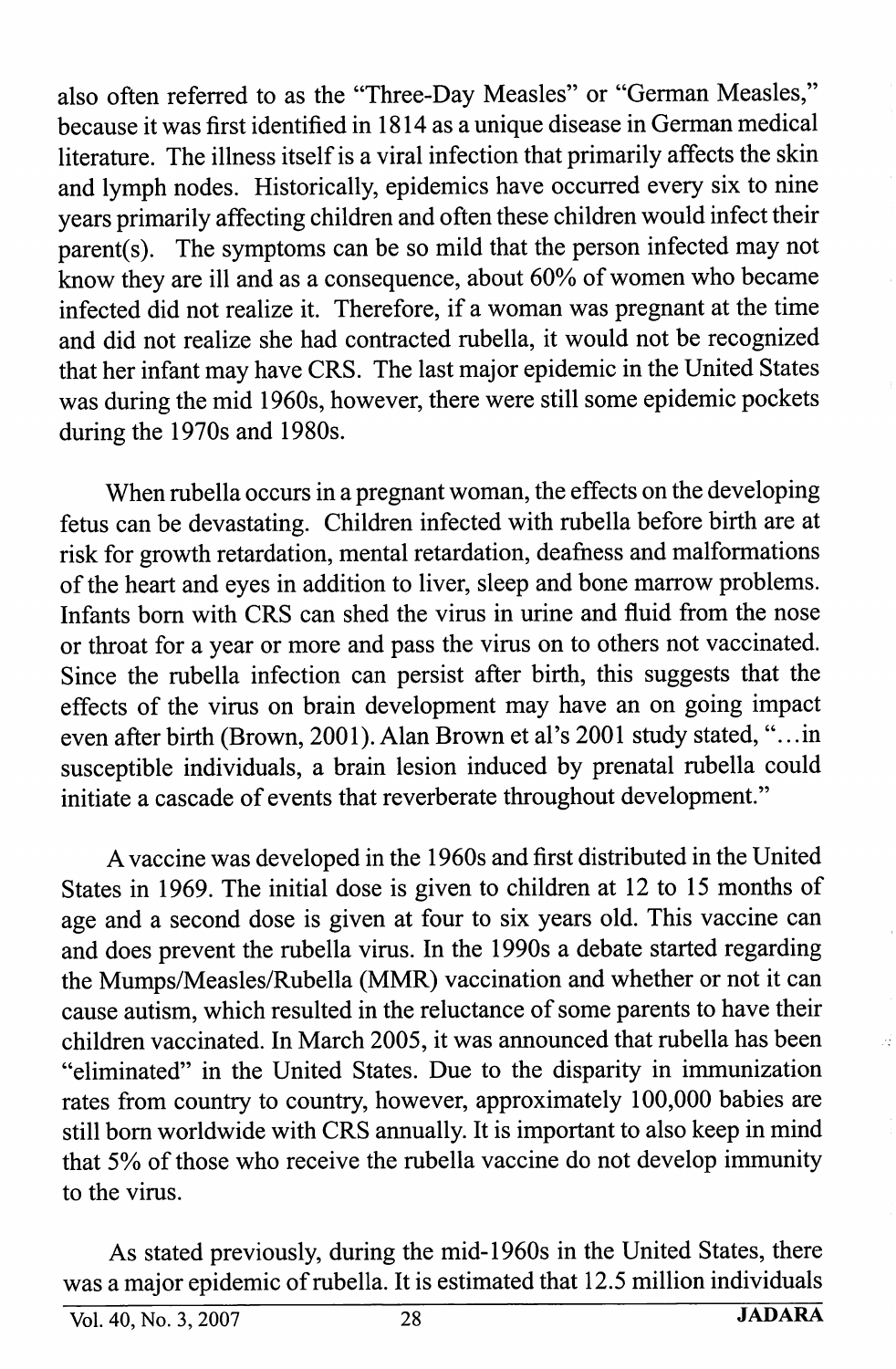also often referred to as the "Three-Day Measles" or "German Measles," because it was first identified in 1814 as a unique disease in German medical literature. The illness itself is a viral infection that primarily affects the skin and lymph nodes. Historically, epidemics have occurred every six to nine years primarily affecting children and often these children would infect their parent(s). The symptoms can be so mild that the person infected may not know they are ill and as a consequence, about 60% of women who became infected did not realize it. Therefore, if a woman was pregnant at the time and did not realize she had contracted rubella, it would not be recognized that her infant may have CRS. The last major epidemic in the United States was during the mid 1960s, however, there were still some epidemic pockets during the 1970s and 1980s.

When rubella occurs in a pregnant woman, the effects on the developing fetus can be devastating. Children infected with rubella before birth are at risk for growth retardation, mental retardation, deafness and malformations of the heart and eyes in addition to liver, sleep and bone marrow problems. Infants bom with CRS can shed the virus in urine and fluid from the nose or throat for a year or more and pass the vims on to others not vaccinated. Since the mbella infection can persist after birth, this suggests that the effects of the vims on brain development may have an on going impact even after birth (Brown, 2001). Alan Brown et al's 2001 study stated,".. .in susceptible individuals, a brain lesion induced by prenatal mbella could initiate a cascade of events that reverberate throughout development."

A vaccine was developed in the 1960s and first distributed in the United States in 1969. The initial dose is given to children at 12 to 15 months of age and a second dose is given at four to six years old. This vaccine can and does prevent the mbella vims. In the 1990s a debate started regarding the Mumps/Measles/Rubella (MMR) vaccination and whether or not it can cause autism, which resulted in the reluctance of some parents to have their children vaccinated. In March 2005, it was announced that mbella has been "eliminated" in the United States. Due to the disparity in immunization rates from country to country, however, approximately 100,000 babies are still bom worldwide with CRS annually. It is important to also keep in mind that 5% of those who receive the mbella vaccine do not develop immunity to the vims.

As stated previously, during the mid-1960s in the United States, there was a major epidemic of mbella. It is estimated that 12.5 million individuals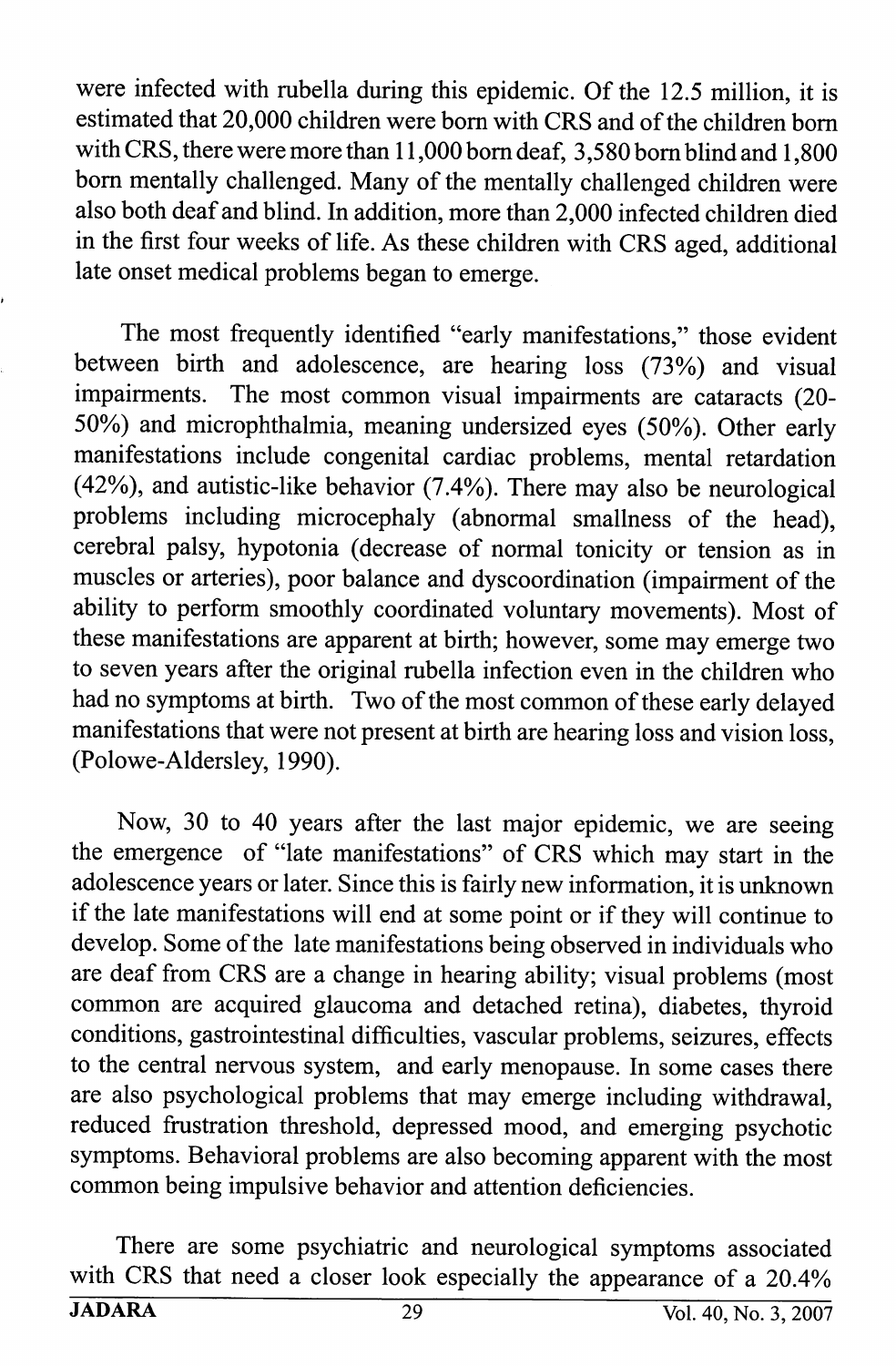were infected with rubella during this epidemic. Of the 12.5 million, it is estimated that 20,000 children were bom with CRS and of the children bom with CRS, there were more than 11,000 bom deaf, 3,580 bora blind and 1,800 bom mentally challenged. Many of the mentally challenged children were also both deaf and blind. In addition, more than 2,000 infected children died in the first four weeks of life. As these children with CRS aged, additional late onset medical problems began to emerge.

The most frequently identified "early manifestations," those evident between birth and adolescence, are hearing loss (73%) and visual impairments. The most common visual impairments are cataracts (20- 50%) and microphthalmia, meaning undersized eyes (50%). Other early manifestations include congenital cardiac problems, mental retardation (42%), and autistic-like behavior (7.4%). There may also be neurological problems including microcephaly (abnormal smallness of the head), cerebral palsy, hypotonia (decrease of normal tonicity or tension as in muscles or arteries), poor balance and dyscoordination (impairment of the ability to perform smoothly coordinated voluntary movements). Most of these manifestations are apparent at birth; however, some may emerge two to seven years after the original mbella infection even in the children who had no symptoms at birth. Two of the most common of these early delayed manifestations that were not present at birth are hearing loss and vision loss, (Polowe-Aldersley, 1990).

Now, 30 to 40 years after the last major epidemic, we are seeing the emergence of "late manifestations" of CRS which may start in the adolescence years or later. Since this is fairly new information, it is unknown if the late manifestations will end at some point or if they will continue to develop. Some of the late manifestations being observed in individuals who are deaf from CRS are a change in hearing ability; visual problems (most common are acquired glaucoma and detached retina), diabetes, thyroid conditions, gastrointestinal difficulties, vascular problems, seizures, effects to the central nervous system, and early menopause. In some cases there are also psychological problems that may emerge including withdrawal, reduced fmstration threshold, depressed mood, and emerging psychotic symptoms. Behavioral problems are also becoming apparent with the most common being impulsive behavior and attention deficiencies.

There are some psychiatric and neurological symptoms associated with CRS that need a closer look especially the appearance of a 20.4%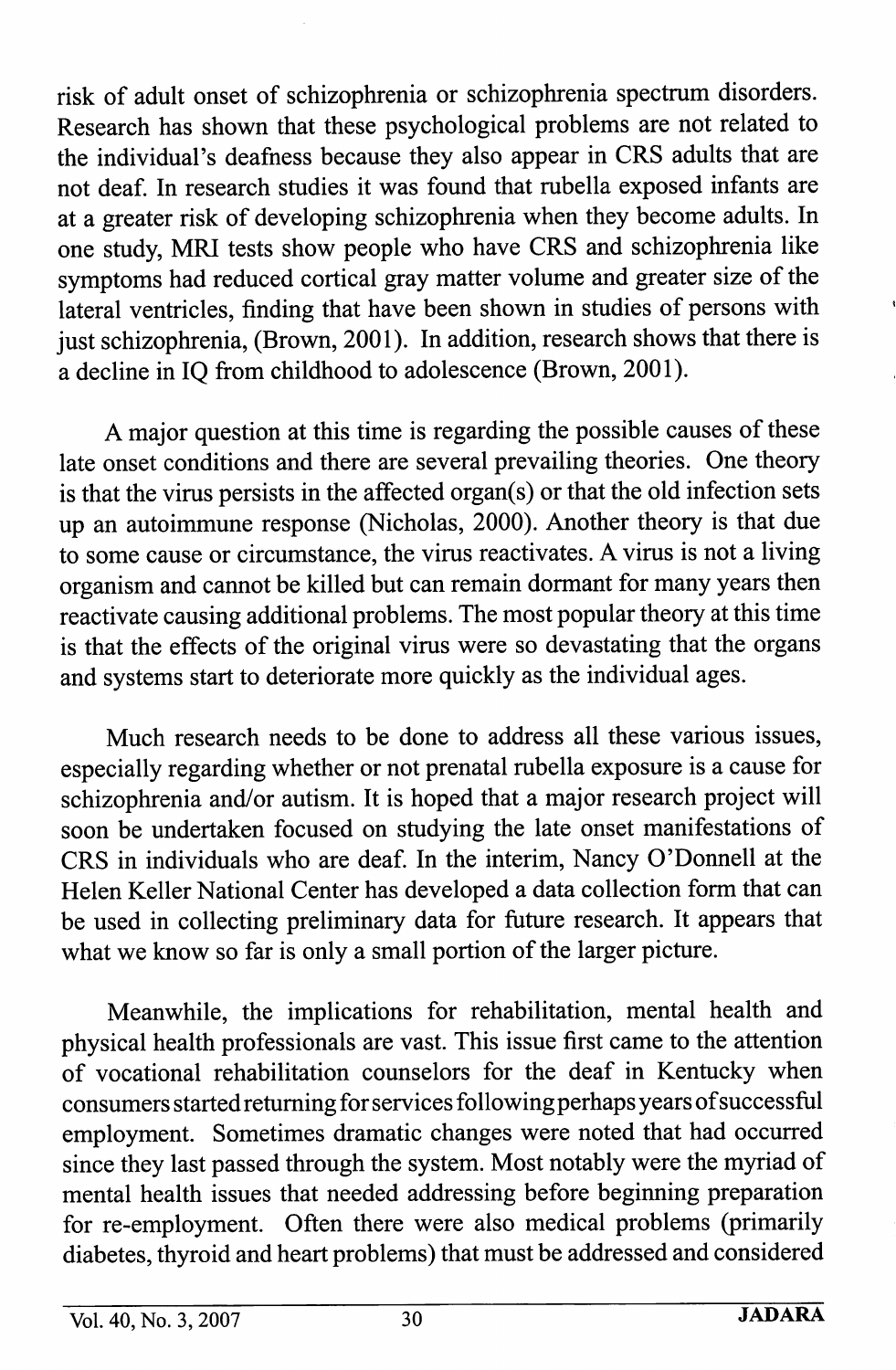risk of adult onset of schizophrenia or schizophrenia spectrum disorders. Research has shown that these psychological problems are not related to the individual's deafness because they also appear in CRS adults that are not deaf. In research studies it was found that rubella exposed infants are at a greater risk of developing schizophrenia when they become adults. In one study, MRI tests show people who have CRS and schizophrenia like symptoms had reduced cortical gray matter volume and greater size of the lateral ventricles, finding that have been shown in studies of persons with just schizophrenia, (Brown, 2001). In addition, research shows that there is a decline in IQ from childhood to adolescence (Brown, 2001).

A major question at this time is regarding the possible causes of these late onset conditions and there are several prevailing theories. One theory is that the virus persists in the affected organ(s) or that the old infection sets up an autoimmune response (Nicholas, 2000). Another theory is that due to some cause or circumstance, the virus reactivates. A virus is not a living organism and cannot be killed but can remain dormant for many years then reactivate causing additional problems. The most popular theory at this time is that the effects of the original virus were so devastating that the organs and systems start to deteriorate more quickly as the individual ages.

Much research needs to be done to address all these various issues, especially regarding whether or not prenatal rubella exposure is a cause for schizophrenia and/or autism. It is hoped that a major research project will soon be undertaken focused on studying the late onset manifestations of CRS in individuals who are deaf. In the interim, Nancy O'Donnell at the Helen Keller National Center has developed a data collection form that can be used in collecting preliminary data for future research. It appears that what we know so far is only a small portion of the larger picture.

Meanwhile, the implications for rehabilitation, mental health and physical health professionals are vast. This issue first came to the attention of vocational rehabilitation counselors for the deaf in Kentucky when consumers started returning for services following perhaps years ofsuccessful employment. Sometimes dramatic changes were noted that had occurred since they last passed through the system. Most notably were the myriad of mental health issues that needed addressing before beginning preparation for re-employment. Often there were also medical problems (primarily diabetes, thyroid and heart problems) that must be addressed and considered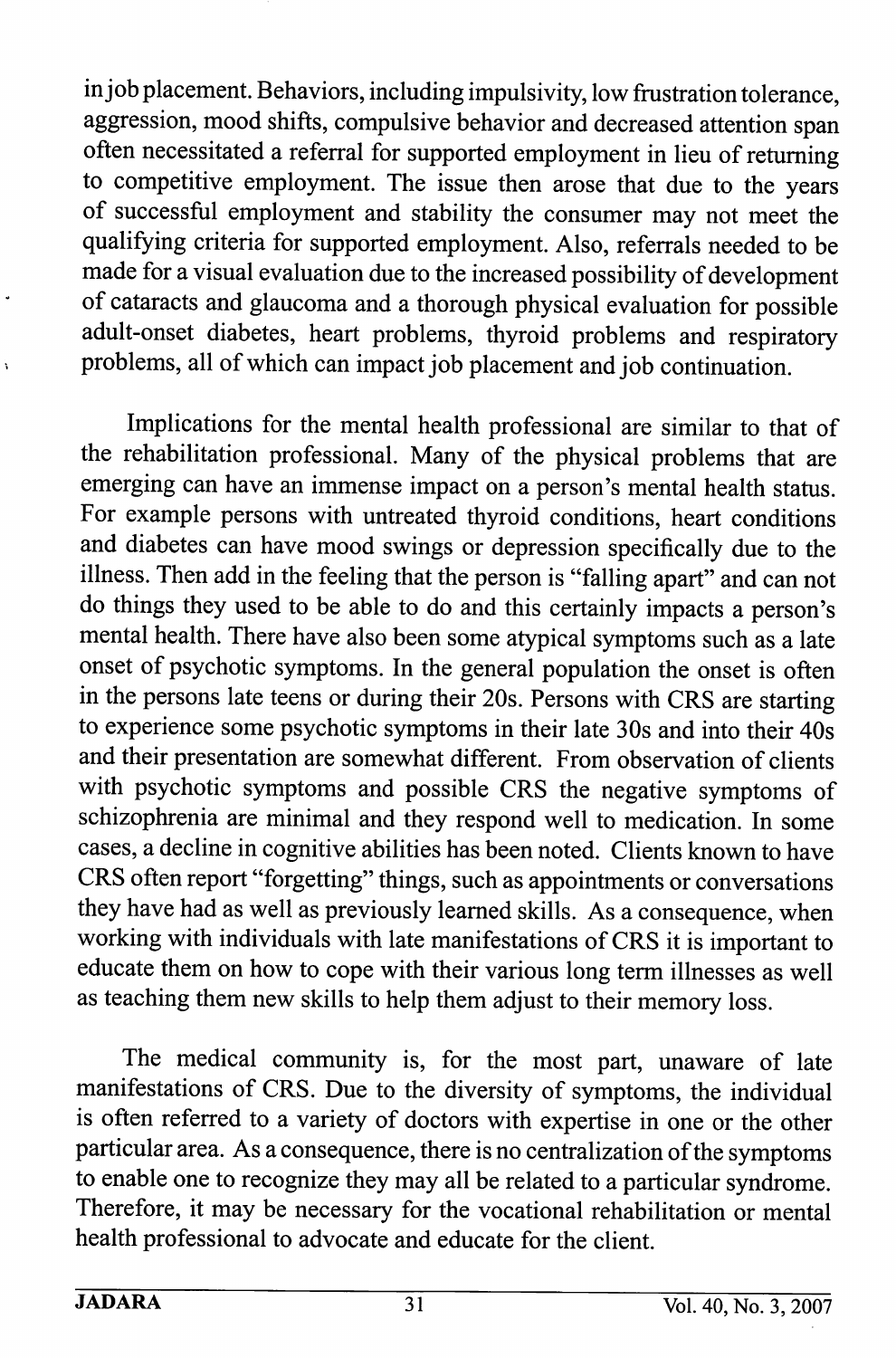in job placement. Behaviors, including impulsivity, low frustration tolerance, aggression, mood shifts, compulsive behavior and decreased attention span often necessitated a referral for supported employment in lieu of returning to competitive employment. The issue then arose that due to the years of successful employment and stability the consumer may not meet the qualifying criteria for supported employment. Also, referrals needed to be made for a visual evaluation due to the increased possibility of development of cataracts and glaucoma and a thorough physical evaluation for possible adult-onset diabetes, heart problems, thyroid problems and respiratory problems, all of which can impact job placement and job continuation.

Implications for the mental health professional are similar to that of the rehabilitation professional. Many of the physical problems that are emerging can have an immense impact on a person's mental health status. For example persons with untreated thyroid conditions, heart conditions and diabetes can have mood swings or depression specifically due to the illness. Then add in the feeling that the person is "falling apart" and can not do things they used to be able to do and this certainly impacts a person's mental health. There have also been some atypical symptoms such as a late onset of psychotic symptoms. In the general population the onset is often in the persons late teens or during their 20s. Persons with CRS are starting to experience some psychotic symptoms in their late 30s and into their 40s and their presentation are somewhat different. From observation of clients with psychotic symptoms and possible CRS the negative symptoms of schizophrenia are minimal and they respond well to medication. In some cases, a decline in cognitive abilities has been noted. Clients known to have CRS often report "forgetting" things, such as appointments or conversations they have had as well as previously learned skills. As a consequence, when working with individuals with late manifestations of CRS it is important to educate them on how to cope with their various long term illnesses as well as teaching them new skills to help them adjust to their memory loss.

The medical community is, for the most part, unaware of late manifestations of CRS. Due to the diversity of symptoms, the individual is often referred to a variety of doctors with expertise in one or the other particular area. As a consequence, there is no centralization of the symptoms to enable one to recognize they may all be related to a particular syndrome. Therefore, it may be necessary for the vocational rehabilitation or mental health professional to advocate and educate for the client.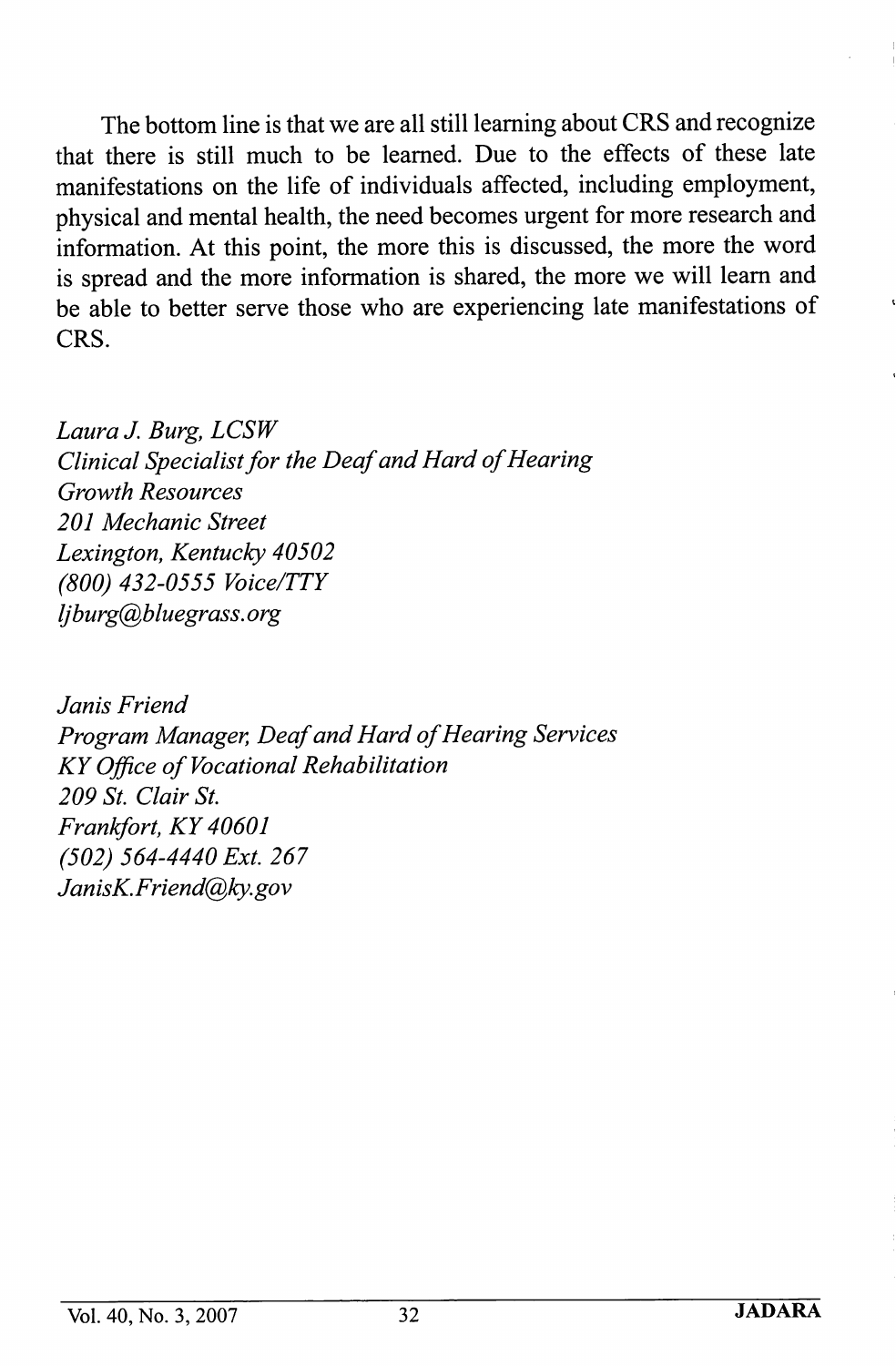The bottom line is that we are all still learning about CRS and recognize that there is still much to be learned. Due to the effects of these late manifestations on the life of individuals affected, including employment, physical and mental health, the need becomes urgent for more research and information. At this point, the more this is discussed, the more the word is spread and the more information is shared, the more we will leam and be able to better serve those who are experiencing late manifestations of CRS.

Laura J. Burg, LCSW Clinical Specialist for the Deaf and Hard of Hearing Growth Resources 201 Mechanic Street Lexington, Kentucky 40502 (800) 432-0555 Voice/TTY ljburg@bluegrass. org

Janis Friend Program Manager, Deaf and Hard of Hearing Services KY Office of Vocational Rehabilitation 209 St. Clair St. Frankfort, KY 40601 (502) 564-4440 Ext. 267 JanisK.Friend@ky.gov